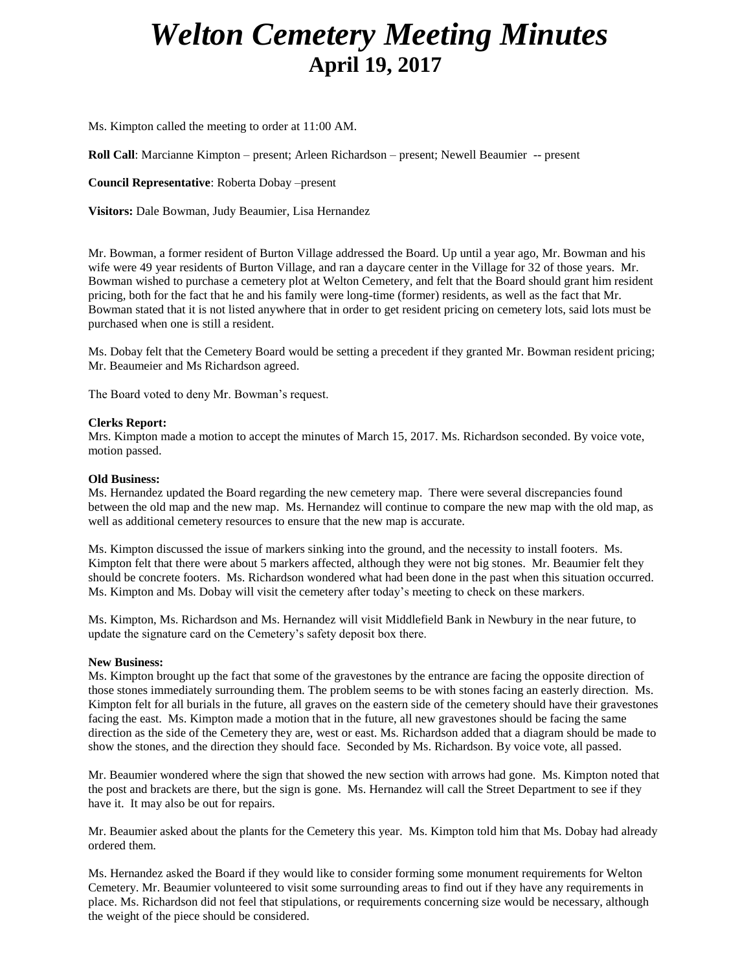# *Welton Cemetery Meeting Minutes* **April 19, 2017**

Ms. Kimpton called the meeting to order at 11:00 AM.

**Roll Call**: Marcianne Kimpton – present; Arleen Richardson – present; Newell Beaumier -- present

**Council Representative**: Roberta Dobay –present

**Visitors:** Dale Bowman, Judy Beaumier, Lisa Hernandez

Mr. Bowman, a former resident of Burton Village addressed the Board. Up until a year ago, Mr. Bowman and his wife were 49 year residents of Burton Village, and ran a daycare center in the Village for 32 of those years. Mr. Bowman wished to purchase a cemetery plot at Welton Cemetery, and felt that the Board should grant him resident pricing, both for the fact that he and his family were long-time (former) residents, as well as the fact that Mr. Bowman stated that it is not listed anywhere that in order to get resident pricing on cemetery lots, said lots must be purchased when one is still a resident.

Ms. Dobay felt that the Cemetery Board would be setting a precedent if they granted Mr. Bowman resident pricing; Mr. Beaumeier and Ms Richardson agreed.

The Board voted to deny Mr. Bowman's request.

### **Clerks Report:**

Mrs. Kimpton made a motion to accept the minutes of March 15, 2017. Ms. Richardson seconded. By voice vote, motion passed.

#### **Old Business:**

Ms. Hernandez updated the Board regarding the new cemetery map. There were several discrepancies found between the old map and the new map. Ms. Hernandez will continue to compare the new map with the old map, as well as additional cemetery resources to ensure that the new map is accurate.

Ms. Kimpton discussed the issue of markers sinking into the ground, and the necessity to install footers. Ms. Kimpton felt that there were about 5 markers affected, although they were not big stones. Mr. Beaumier felt they should be concrete footers. Ms. Richardson wondered what had been done in the past when this situation occurred. Ms. Kimpton and Ms. Dobay will visit the cemetery after today's meeting to check on these markers.

Ms. Kimpton, Ms. Richardson and Ms. Hernandez will visit Middlefield Bank in Newbury in the near future, to update the signature card on the Cemetery's safety deposit box there.

#### **New Business:**

Ms. Kimpton brought up the fact that some of the gravestones by the entrance are facing the opposite direction of those stones immediately surrounding them. The problem seems to be with stones facing an easterly direction. Ms. Kimpton felt for all burials in the future, all graves on the eastern side of the cemetery should have their gravestones facing the east. Ms. Kimpton made a motion that in the future, all new gravestones should be facing the same direction as the side of the Cemetery they are, west or east. Ms. Richardson added that a diagram should be made to show the stones, and the direction they should face. Seconded by Ms. Richardson. By voice vote, all passed.

Mr. Beaumier wondered where the sign that showed the new section with arrows had gone. Ms. Kimpton noted that the post and brackets are there, but the sign is gone. Ms. Hernandez will call the Street Department to see if they have it. It may also be out for repairs.

Mr. Beaumier asked about the plants for the Cemetery this year. Ms. Kimpton told him that Ms. Dobay had already ordered them.

Ms. Hernandez asked the Board if they would like to consider forming some monument requirements for Welton Cemetery. Mr. Beaumier volunteered to visit some surrounding areas to find out if they have any requirements in place. Ms. Richardson did not feel that stipulations, or requirements concerning size would be necessary, although the weight of the piece should be considered.